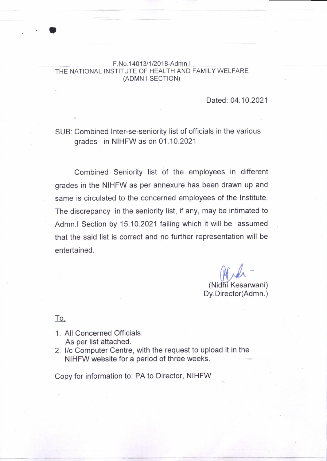## F.No.14013/1/2018-Admn.I THE NATIONAL INSTITUTE OF HEALTH AND FAMILY WELFARE (ADMN.I SECTION)

Dated: 04.10.2021

## SUB: Combined Inter-se-seniority list of officials in the various grades in NIHFW as on 01.10.2021

Combined Seniority list of the employees in different grades in the NIHFW as per annexure has been drawn up and same is circulated to the concerned employees of the Institute. The discrepancy in the seniority list, if any, may be intimated to Admn.l Section by 15.10.2021 failing which it will be assumed that the said list is correct and no further representation will be entertained.

> Mind (Nidhi Kesarwani) Dy.Director(Admn.)

To,

o

- 1. All Concerned Officials. As per list attached.
- 2. l/c Computer Centre, with the request to upload it in the NIHFW website for a period of three weeks.

Copy for information to: PA to Director, NIHFW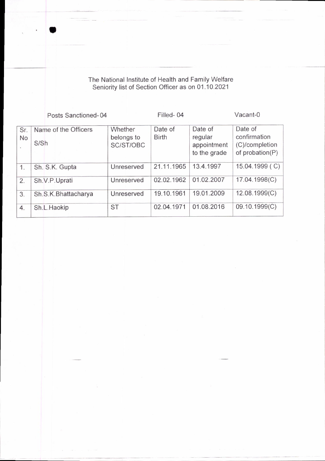The National Institute of Health and Family Welfare Seniority list of Section Officer as on 01.10.2021

I

|                                       | Posts Sanctioned-04          |                                    | Filled-04               |                                                   | Vacant-0                                                     |
|---------------------------------------|------------------------------|------------------------------------|-------------------------|---------------------------------------------------|--------------------------------------------------------------|
| Sr.<br>No<br>$\overline{\phantom{a}}$ | Name of the Officers<br>S/Sh | Whether<br>belongs to<br>SC/ST/OBC | Date of<br><b>Birth</b> | Date of<br>regular<br>appointment<br>to the grade | Date of<br>confirmation<br>(C)/completion<br>of probation(P) |
| 1.                                    | Sh. S.K. Gupta               | Unreserved                         | 21.11.1965              | 13.4.1997                                         | 15.04.1999 (C)                                               |
| 2.                                    | Sh.V.P.Uprati                | Unreserved                         | 02.02.1962              | 01.02.2007                                        | 17.04.1998(C)                                                |
| 3.                                    | Sh.S.K.Bhattacharya          | Unreserved                         | 19.10.1961              | 19.01.2009                                        | 12.08.1999(C)                                                |
| 4.                                    | Sh.L.Haokip                  | <b>ST</b>                          | 02.04.1971              | 01.08.2016                                        | 09.10.1999(C)                                                |